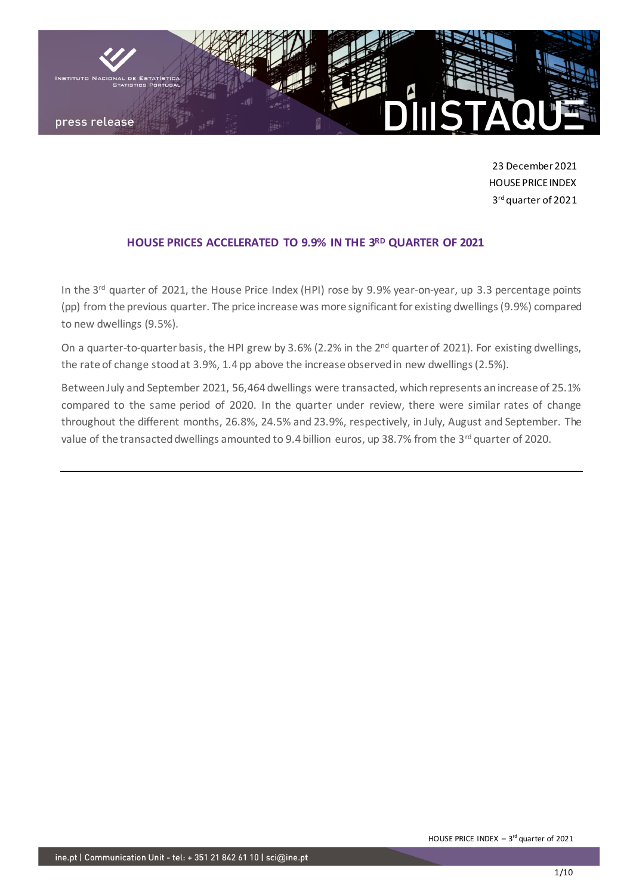

23 December 2021 HOUSE PRICE INDEX 3 rd quarter of 2021

## **HOUSE PRICES ACCELERATED TO 9.9% IN THE 3 RD QUARTER OF 2021**

In the 3<sup>rd</sup> quarter of 2021, the House Price Index (HPI) rose by 9.9% year-on-year, up 3.3 percentage points (pp) from the previous quarter. The price increase was more significant for existing dwellings (9.9%) compared to new dwellings (9.5%).

On a quarter-to-quarter basis, the HPI grew by 3.6% (2.2% in the 2<sup>nd</sup> quarter of 2021). For existing dwellings, the rate of change stood at 3.9%, 1.4 pp above the increase observed in new dwellings (2.5%).

Between July and September 2021, 56,464 dwellings were transacted, which represents an increase of 25.1% compared to the same period of 2020. In the quarter under review, there were similar rates of change throughout the different months, 26.8%, 24.5% and 23.9%, respectively, in July, August and September. The value of the transacted dwellings amounted to 9.4 billion euros, up 38.7% from the 3rd quarter of 2020.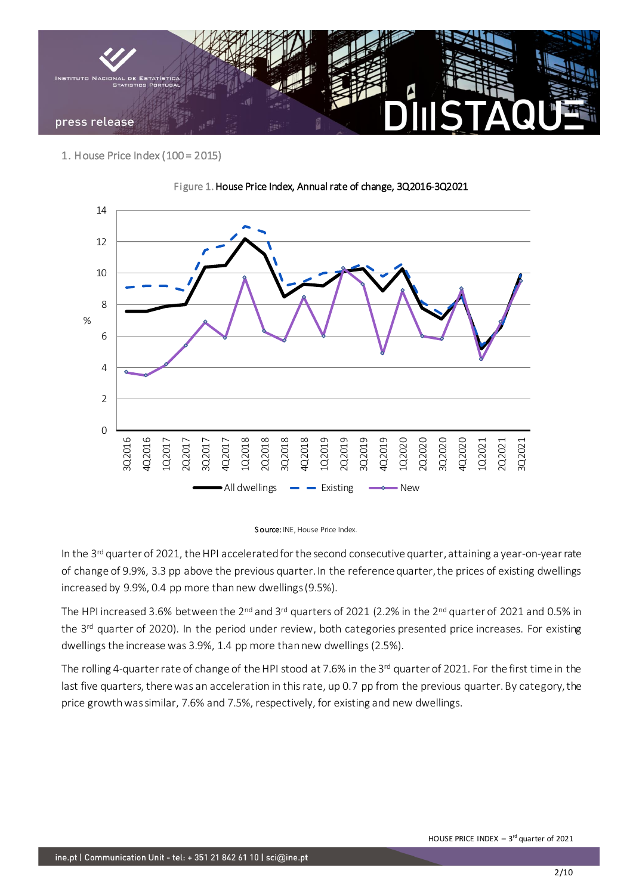

1. House Price Index (100 = 2015)







In the  $3^{rd}$  quarter of 2021, the HPI accelerated for the second consecutive quarter, attaining a year-on-year rate of change of 9.9%, 3.3 pp above the previous quarter. In the reference quarter, the prices of existing dwellings increased by 9.9%, 0.4 pp more than new dwellings (9.5%).

The HPI increased 3.6% between the 2<sup>nd</sup> and 3<sup>rd</sup> quarters of 2021 (2.2% in the 2<sup>nd</sup> quarter of 2021 and 0.5% in the 3<sup>rd</sup> quarter of 2020). In the period under review, both categories presented price increases. For existing dwellings the increase was 3.9%, 1.4 pp more than new dwellings (2.5%).

The rolling 4-quarter rate of change of the HPI stood at 7.6% in the 3<sup>rd</sup> quarter of 2021. For the first time in the last five quarters, there was an acceleration in this rate, up 0.7 pp from the previous quarter. By category, the price growth was similar, 7.6% and 7.5%, respectively, for existing and new dwellings.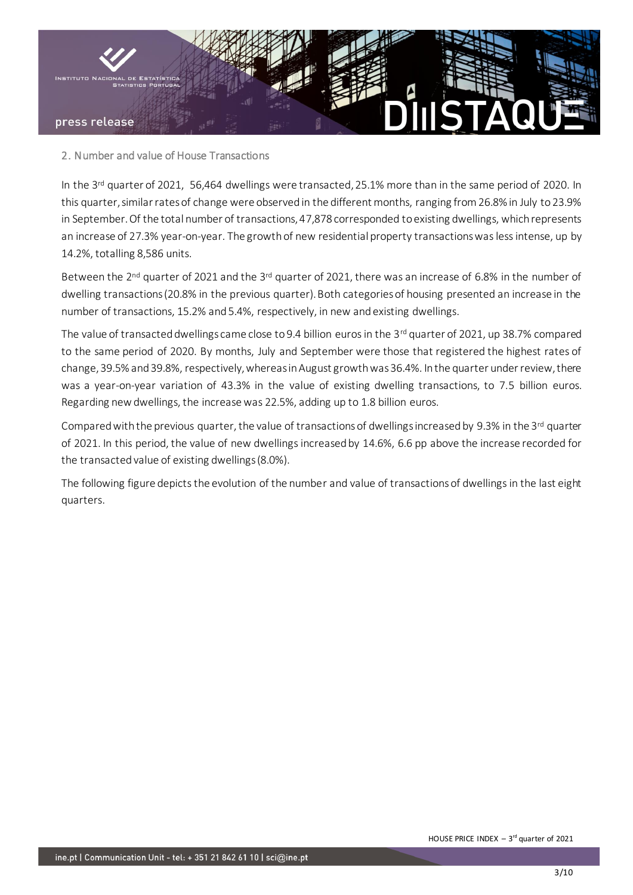

## 2. Number and value of House Transactions

In the 3<sup>rd</sup> quarter of 2021, 56,464 dwellings were transacted, 25.1% more than in the same period of 2020. In this quarter, similar rates of change were observed in the different months, ranging from 26.8% in July to 23.9% in September. Of the total number of transactions, 47,878 corresponded to existing dwellings, which represents an increase of 27.3% year-on-year. The growth of new residential property transactions was less intense, up by 14.2%, totalling 8,586 units.

Between the 2<sup>nd</sup> quarter of 2021 and the 3<sup>rd</sup> quarter of 2021, there was an increase of 6.8% in the number of dwelling transactions (20.8% in the previous quarter). Both categories of housing presented an increase in the number of transactions, 15.2% and 5.4%, respectively, in new and existing dwellings.

The value of transacted dwellings came close to 9.4 billion euros in the 3<sup>rd</sup> quarter of 2021, up 38.7% compared to the same period of 2020. By months, July and September were those that registered the highest rates of change, 39.5% and 39.8%, respectively, whereas in August growth was 36.4%. In the quarter under review, there was a year-on-year variation of 43.3% in the value of existing dwelling transactions, to 7.5 billion euros. Regarding new dwellings, the increasewas 22.5%, adding up to 1.8 billion euros.

Compared with the previous quarter, the value of transactions of dwellings increased by 9.3% in the 3<sup>rd</sup> quarter of 2021. In this period, the value of new dwellingsincreased by 14.6%, 6.6 pp above the increase recorded for the transacted value of existing dwellings (8.0%).

The following figure depicts the evolution of the number and value of transactions of dwellings in the last eight quarters.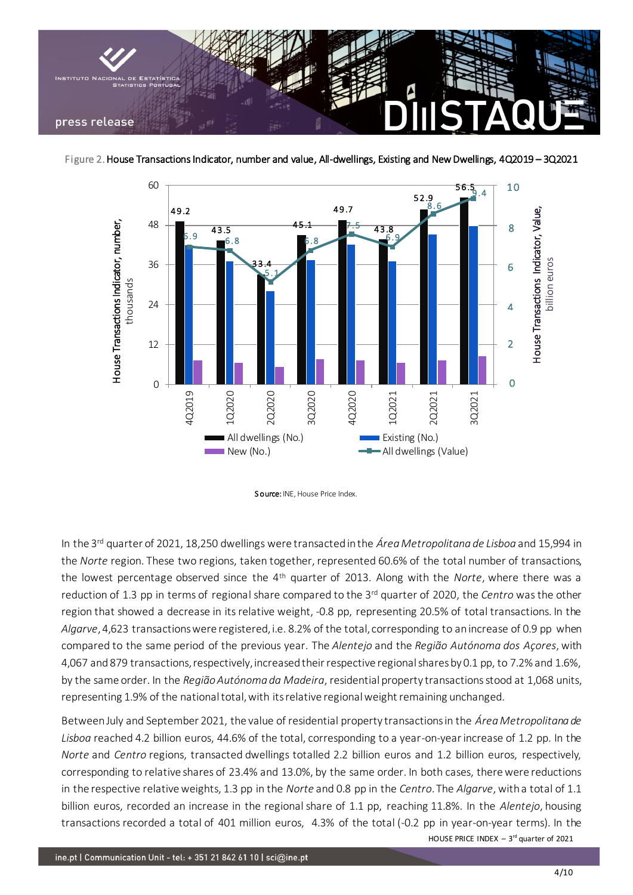

Figure 2. House Transactions Indicator, number and value, All-dwellings, Existing and New Dwellings, 4Q2019 – 3Q2021



Source: INE, House Price Index.

In the 3rd quarter of 2021, 18,250 dwellings were transacted in the *Área Metropolitana de Lisboa* and 15,994 in the *Norte* region. These two regions, taken together, represented 60.6% of the total number of transactions, the lowest percentage observed since the 4th quarter of 2013. Along with the *Norte*, where there was a reduction of 1.3 pp in terms of regional share compared to the 3rd quarter of 2020, the *Centro* was the other region that showed a decrease in its relative weight, -0.8 pp, representing 20.5% of total transactions. In the *Algarve*, 4,623 transactions were registered, i.e. 8.2% of the total, corresponding to an increase of 0.9 pp when compared to the same period of the previous year. The *Alentejo* and the *Região Autónoma dos Açores*, with 4,067 and 879 transactions, respectively, increased their respective regional shares by 0.1 pp, to 7.2% and 1.6%, by the same order. In the *Região Autónoma da Madeira*, residential property transactionsstood at 1,068 units, representing 1.9% of the national total, with itsrelative regional weight remaining unchanged.

HOUSE PRICE INDEX  $-3$ <sup>rd</sup> quarter of 2021 Between July and September 2021, the value of residential property transactions in the *Área Metropolitana de Lisboa* reached 4.2 billion euros, 44.6% of the total, corresponding to a year-on-year increase of 1.2 pp. In the *Norte* and *Centro* regions, transacted dwellings totalled 2.2 billion euros and 1.2 billion euros, respectively, corresponding to relative shares of 23.4% and 13.0%, by the same order. In both cases, there were reductions in the respective relative weights, 1.3 pp in the *Norte* and 0.8 pp in the *Centro*. The *Algarve*, with a total of 1.1 billion euros, recorded an increase in the regional share of 1.1 pp, reaching 11.8%. In the *Alentejo*, housing transactions recorded a total of 401 million euros, 4.3% of the total (-0.2 pp in year-on-year terms). In the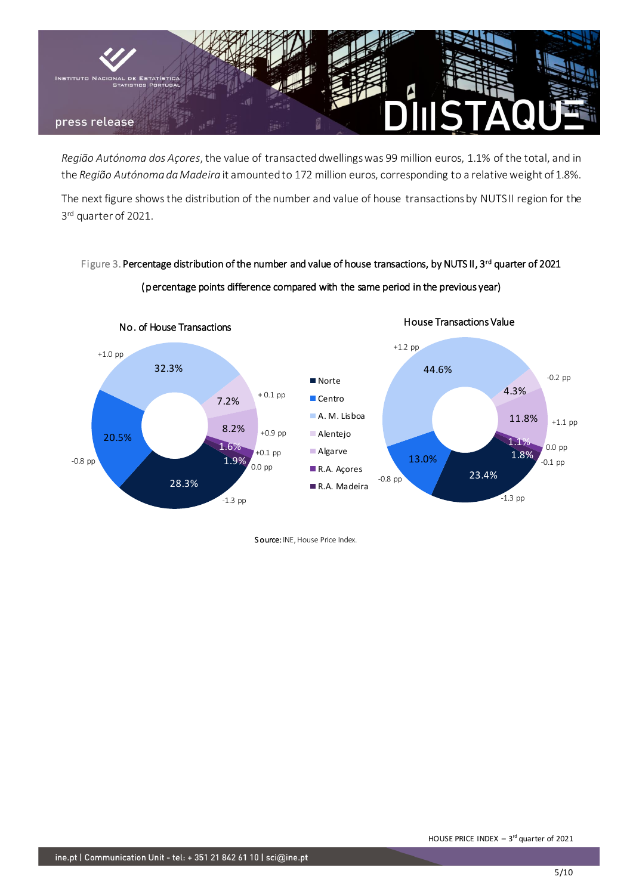

*Região Autónoma dos Açores*, the value of transacted dwellings was 99 million euros, 1.1% of the total, and in the *Região Autónoma da Madeira* it amounted to 172 million euros, corresponding to a relative weight of 1.8%.

The next figure shows the distribution of the number and value of house transactionsby NUTS II region for the 3 rd quarter of 2021.

# Figure 3. Percentage distribution of the number and value of house transactions, by NUTS II, 3<sup>rd</sup> quarter of 2021 (percentage points difference compared with the same period in the previous year)



Source: INE, House Price Index.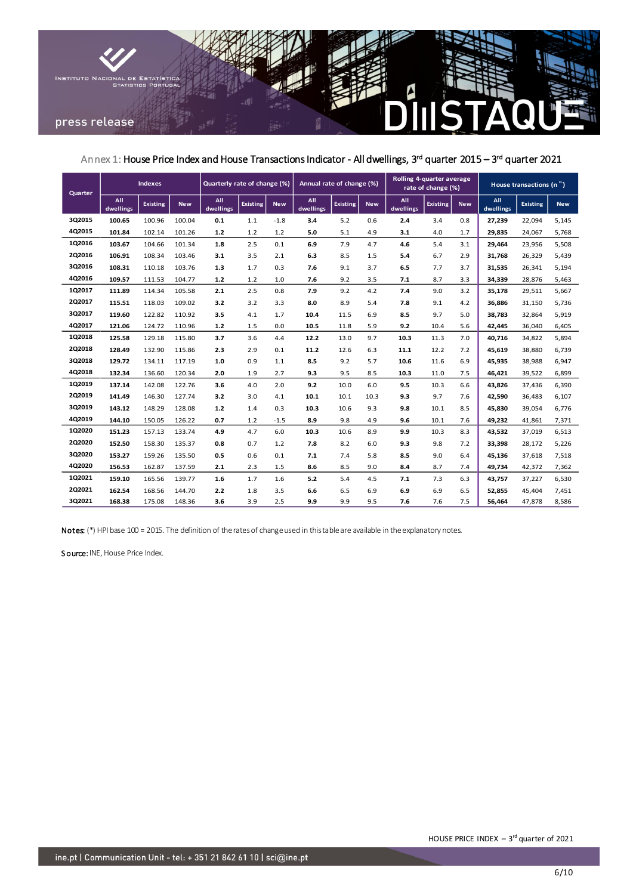

Annex 1: House Price Index and House Transactions Indicator - All dwellings, 3<sup>rd</sup> quarter 2015 – 3<sup>rd</sup> quarter 2021

| Quarter | <b>Indexes</b>   |                 |            | Quarterly rate of change (%) |                 |            | Annual rate of change (%) |                 |            | Rolling 4-quarter average<br>rate of change (%) |                 |            | House transactions (n °) |                 |            |
|---------|------------------|-----------------|------------|------------------------------|-----------------|------------|---------------------------|-----------------|------------|-------------------------------------------------|-----------------|------------|--------------------------|-----------------|------------|
|         | All<br>dwellings | <b>Existing</b> | <b>New</b> | All<br>dwellings             | <b>Existing</b> | <b>New</b> | All<br>dwellings          | <b>Existing</b> | <b>New</b> | All<br>dwellings                                | <b>Existing</b> | <b>New</b> | All<br>dwellings         | <b>Existing</b> | <b>New</b> |
| 3Q2015  | 100.65           | 100.96          | 100.04     | 0.1                          | 1.1             | $-1.8$     | 3.4                       | 5.2             | 0.6        | 2.4                                             | 3.4             | 0.8        | 27,239                   | 22,094          | 5,145      |
| 4Q2015  | 101.84           | 102.14          | 101.26     | 1.2                          | 1.2             | 1.2        | 5.0                       | 5.1             | 4.9        | 3.1                                             | 4.0             | 1.7        | 29,835                   | 24,067          | 5,768      |
| 1Q2016  | 103.67           | 104.66          | 101.34     | 1.8                          | 2.5             | 0.1        | 6.9                       | 7.9             | 4.7        | 4.6                                             | 5.4             | 3.1        | 29,464                   | 23,956          | 5,508      |
| 2Q2016  | 106.91           | 108.34          | 103.46     | 3.1                          | 3.5             | 2.1        | 6.3                       | 8.5             | 1.5        | 5.4                                             | 6.7             | 2.9        | 31,768                   | 26,329          | 5,439      |
| 3Q2016  | 108.31           | 110.18          | 103.76     | 1.3                          | 1.7             | 0.3        | 7.6                       | 9.1             | 3.7        | 6.5                                             | 7.7             | 3.7        | 31,535                   | 26,341          | 5,194      |
| 4Q2016  | 109.57           | 111.53          | 104.77     | $1.2$                        | 1.2             | $1.0$      | 7.6                       | 9.2             | 3.5        | 7.1                                             | 8.7             | 3.3        | 34,339                   | 28,876          | 5,463      |
| 1Q2017  | 111.89           | 114.34          | 105.58     | 2.1                          | 2.5             | 0.8        | 7.9                       | 9.2             | 4.2        | 7.4                                             | 9.0             | 3.2        | 35,178                   | 29,511          | 5,667      |
| 2Q2017  | 115.51           | 118.03          | 109.02     | 3.2                          | 3.2             | 3.3        | 8.0                       | 8.9             | 5.4        | 7.8                                             | 9.1             | 4.2        | 36.886                   | 31.150          | 5,736      |
| 3Q2017  | 119.60           | 122.82          | 110.92     | 3.5                          | 4.1             | 1.7        | 10.4                      | 11.5            | 6.9        | 8.5                                             | 9.7             | 5.0        | 38.783                   | 32,864          | 5,919      |
| 4Q2017  | 121.06           | 124.72          | 110.96     | $1.2$                        | 1.5             | 0.0        | 10.5                      | 11.8            | 5.9        | 9.2                                             | 10.4            | 5.6        | 42,445                   | 36,040          | 6,405      |
| 1Q2018  | 125.58           | 129.18          | 115.80     | 3.7                          | 3.6             | 4.4        | 12.2                      | 13.0            | 9.7        | 10.3                                            | 11.3            | 7.0        | 40,716                   | 34,822          | 5,894      |
| 2Q2018  | 128.49           | 132.90          | 115.86     | 2.3                          | 2.9             | 0.1        | 11.2                      | 12.6            | 6.3        | 11.1                                            | 12.2            | 7.2        | 45,619                   | 38,880          | 6,739      |
| 3Q2018  | 129.72           | 134.11          | 117.19     | 1.0                          | 0.9             | 1.1        | 8.5                       | 9.2             | 5.7        | 10.6                                            | 11.6            | 6.9        | 45,935                   | 38,988          | 6,947      |
| 4Q2018  | 132.34           | 136.60          | 120.34     | 2.0                          | 1.9             | 2.7        | 9.3                       | 9.5             | 8.5        | 10.3                                            | 11.0            | 7.5        | 46,421                   | 39,522          | 6,899      |
| 1Q2019  | 137.14           | 142.08          | 122.76     | 3.6                          | 4.0             | 2.0        | 9.2                       | 10.0            | 6.0        | 9.5                                             | 10.3            | 6.6        | 43,826                   | 37,436          | 6,390      |
| 2Q2019  | 141.49           | 146.30          | 127.74     | 3.2                          | 3.0             | 4.1        | 10.1                      | 10.1            | 10.3       | 9.3                                             | 9.7             | 7.6        | 42,590                   | 36,483          | 6,107      |
| 3Q2019  | 143.12           | 148.29          | 128.08     | $1.2$                        | 1.4             | 0.3        | 10.3                      | 10.6            | 9.3        | 9.8                                             | 10.1            | 8.5        | 45.830                   | 39,054          | 6,776      |
| 4Q2019  | 144.10           | 150.05          | 126.22     | 0.7                          | 1.2             | $-1.5$     | 8.9                       | 9.8             | 4.9        | 9.6                                             | 10.1            | 7.6        | 49,232                   | 41,861          | 7,371      |
| 1Q2020  | 151.23           | 157.13          | 133.74     | 4.9                          | 4.7             | 6.0        | 10.3                      | 10.6            | 8.9        | 9.9                                             | 10.3            | 8.3        | 43,532                   | 37,019          | 6,513      |
| 2Q2020  | 152.50           | 158.30          | 135.37     | 0.8                          | 0.7             | 1.2        | 7.8                       | 8.2             | 6.0        | 9.3                                             | 9.8             | 7.2        | 33,398                   | 28,172          | 5,226      |
| 3Q2020  | 153.27           | 159.26          | 135.50     | 0.5                          | 0.6             | 0.1        | 7.1                       | 7.4             | 5.8        | 8.5                                             | 9.0             | 6.4        | 45,136                   | 37,618          | 7,518      |
| 4Q2020  | 156.53           | 162.87          | 137.59     | 2.1                          | 2.3             | 1.5        | 8.6                       | 8.5             | 9.0        | 8.4                                             | 8.7             | 7.4        | 49,734                   | 42,372          | 7,362      |
| 1Q2021  | 159.10           | 165.56          | 139.77     | 1.6                          | 1.7             | 1.6        | 5.2                       | 5.4             | 4.5        | 7.1                                             | 7.3             | 6.3        | 43,757                   | 37,227          | 6,530      |
| 2Q2021  | 162.54           | 168.56          | 144.70     | 2.2                          | 1.8             | 3.5        | 6.6                       | 6.5             | 6.9        | 6.9                                             | 6.9             | 6.5        | 52,855                   | 45,404          | 7,451      |
| 3Q2021  | 168.38           | 175.08          | 148.36     | 3.6                          | 3.9             | 2.5        | 9.9                       | 9.9             | 9.5        | 7.6                                             | 7.6             | 7.5        | 56,464                   | 47,878          | 8,586      |

Notes: (\*) HPI base 100 = 2015. The definition of the rates of change used in this table are available in the explanatory notes.

Source: INE, House Price Index.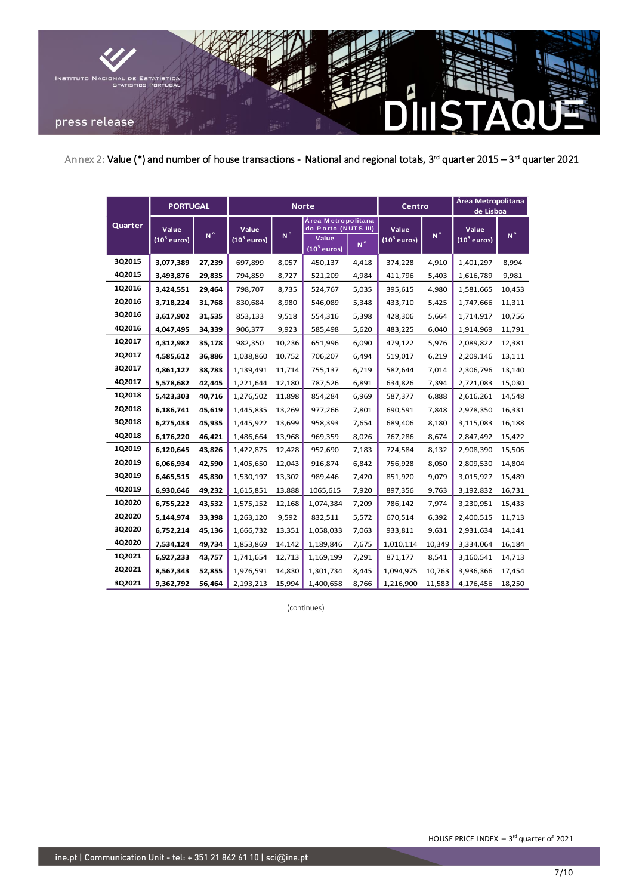

Annex 2: Value (\*) and number of house transactions - National and regional totals, 3<sup>rd</sup> quarter 2015 – 3<sup>rd</sup> quarter 2021

| Quarter |               | <b>PORTUGAL</b>         |                 |                         |                | <b>Norte</b>                              |                | <b>Centro</b>           |          | Área Metropolitana<br>de Lisboa |                 |
|---------|---------------|-------------------------|-----------------|-------------------------|----------------|-------------------------------------------|----------------|-------------------------|----------|---------------------------------|-----------------|
|         |               | Value                   |                 | Value                   |                | Área Metropolitana<br>do Porto (NUTS III) |                | Value                   |          | Value                           |                 |
|         |               | (10 <sup>3</sup> euros) | N <sup>o.</sup> | (10 <sup>3</sup> euros) | N <sup>o</sup> | Value<br>(10 <sup>3</sup> euros)          | N <sup>o</sup> | (10 <sup>3</sup> euros) | $N^{o.}$ | $(10^3$ euros)                  | N <sup>o.</sup> |
|         | 3Q2015        | 3,077,389               | 27,239          | 697,899                 | 8,057          | 450,137                                   | 4,418          | 374,228                 | 4,910    | 1,401,297                       | 8,994           |
|         | 4Q2015        | 3,493,876               | 29,835          | 794,859                 | 8,727          | 521,209                                   | 4,984          | 411,796                 | 5,403    | 1,616,789                       | 9,981           |
|         | 1Q2016        | 3,424,551               | 29,464          | 798,707                 | 8,735          | 524,767                                   | 5,035          | 395,615                 | 4,980    | 1,581,665                       | 10,453          |
|         | 2Q2016        | 3,718,224               | 31,768          | 830,684                 | 8,980          | 546,089                                   | 5,348          | 433,710                 | 5,425    | 1,747,666                       | 11,311          |
|         | 3Q2016        | 3,617,902               | 31,535          | 853,133                 | 9,518          | 554,316                                   | 5,398          | 428,306                 | 5,664    | 1,714,917                       | 10,756          |
|         | 4Q2016        | 4,047,495               | 34,339          | 906,377                 | 9,923          | 585,498                                   | 5,620          | 483,225                 | 6,040    | 1,914,969                       | 11,791          |
|         | 1Q2017        | 4,312,982               | 35,178          | 982,350                 | 10,236         | 651,996                                   | 6,090          | 479,122                 | 5,976    | 2,089,822                       | 12,381          |
|         | 2Q2017        | 4,585,612               | 36,886          | 1,038,860               | 10,752         | 706,207                                   | 6,494          | 519,017                 | 6,219    | 2,209,146                       | 13,111          |
|         | 3Q2017        | 4,861,127               | 38,783          | 1,139,491               | 11,714         | 755,137                                   | 6,719          | 582,644                 | 7,014    | 2,306,796                       | 13,140          |
|         | 4Q2017        | 5,578,682               | 42,445          | 1,221,644               | 12,180         | 787,526                                   | 6,891          | 634,826                 | 7,394    | 2,721,083                       | 15,030          |
|         | 1Q2018        | 5,423,303               | 40,716          | 1,276,502               | 11,898         | 854,284                                   | 6,969          | 587,377                 | 6,888    | 2,616,261                       | 14,548          |
|         | 2Q2018        | 6,186,741               | 45,619          | 1,445,835               | 13,269         | 977,266                                   | 7,801          | 690,591                 | 7,848    | 2,978,350                       | 16,331          |
|         | 3Q2018        | 6,275,433               | 45,935          | 1,445,922               | 13,699         | 958,393                                   | 7,654          | 689,406                 | 8,180    | 3,115,083                       | 16,188          |
|         | 4Q2018        | 6,176,220               | 46,421          | 1,486,664               | 13,968         | 969,359                                   | 8,026          | 767,286                 | 8,674    | 2,847,492                       | 15,422          |
|         | 1Q2019        | 6,120,645               | 43,826          | 1,422,875               | 12,428         | 952,690                                   | 7,183          | 724,584                 | 8,132    | 2,908,390                       | 15,506          |
|         | 2Q2019        | 6,066,934               | 42,590          | 1,405,650               | 12,043         | 916,874                                   | 6,842          | 756,928                 | 8,050    | 2,809,530                       | 14,804          |
|         | 3Q2019        | 6,465,515               | 45,830          | 1,530,197               | 13,302         | 989,446                                   | 7,420          | 851,920                 | 9,079    | 3,015,927                       | 15,489          |
|         | 4Q2019        | 6,930,646               | 49,232          | 1,615,851               | 13,888         | 1065,615                                  | 7,920          | 897,356                 | 9,763    | 3,192,832                       | 16,731          |
|         | 1Q2020        | 6,755,222               | 43,532          | 1,575,152               | 12,168         | 1,074,384                                 | 7,209          | 786,142                 | 7,974    | 3,230,951                       | 15,433          |
|         | <b>2Q2020</b> | 5,144,974               | 33,398          | 1,263,120               | 9,592          | 832,511                                   | 5,572          | 670,514                 | 6,392    | 2,400,515                       | 11,713          |
|         | 3Q2020        | 6,752,214               | 45,136          | 1,666,732               | 13,351         | 1,058,033                                 | 7,063          | 933,811                 | 9,631    | 2,931,634                       | 14,141          |
|         | 4Q2020        | 7,534,124               | 49,734          | 1,853,869               | 14,142         | 1,189,846                                 | 7,675          | 1,010,114               | 10,349   | 3,334,064                       | 16,184          |
|         | 1Q2021        | 6,927,233               | 43,757          | 1,741,654               | 12,713         | 1,169,199                                 | 7,291          | 871,177                 | 8,541    | 3,160,541                       | 14,713          |
|         | 2Q2021        | 8,567,343               | 52,855          | 1,976,591               | 14,830         | 1,301,734                                 | 8,445          | 1,094,975               | 10,763   | 3,936,366                       | 17,454          |
|         | 3Q2021        | 9,362,792               | 56,464          | 2,193,213               | 15,994         | 1,400,658                                 | 8,766          | 1,216,900               | 11,583   | 4,176,456                       | 18,250          |

(continues)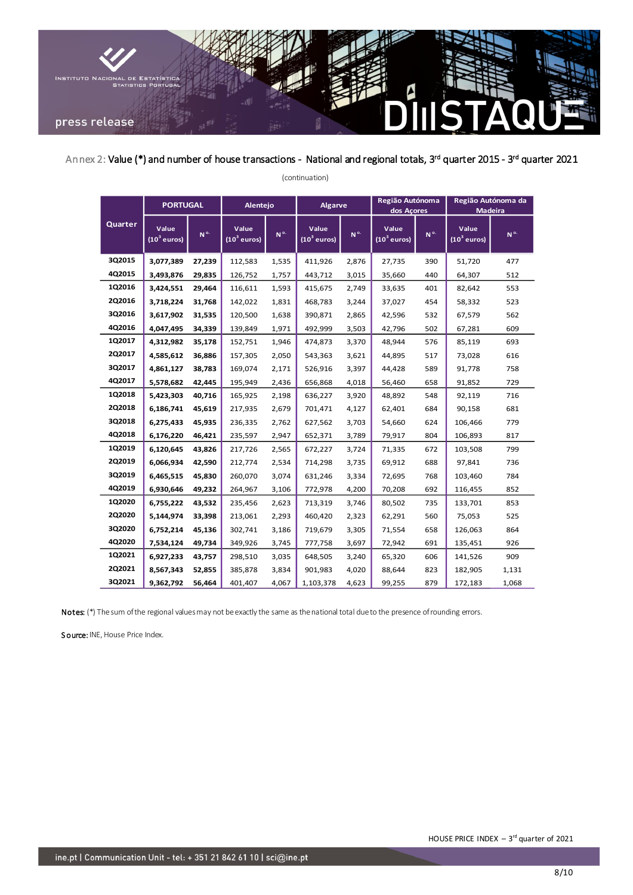

## Annex 2: **Value (\*) and number of house transactions - National and regional totals, 3<sup>rd</sup> quarter 2015 - 3<sup>rd</sup> quarter 2021**

|         | <b>PORTUGAL</b>                  |                | Alentejo                         |                | <b>Algarve</b>                   |                 | Região Autónoma<br>dos Açores    |                | Região Autónoma da<br><b>Madeira</b> |                |
|---------|----------------------------------|----------------|----------------------------------|----------------|----------------------------------|-----------------|----------------------------------|----------------|--------------------------------------|----------------|
| Quarter | Value<br>(10 <sup>3</sup> euros) | N <sup>o</sup> | Value<br>(10 <sup>3</sup> euros) | N <sup>o</sup> | Value<br>(10 <sup>3</sup> euros) | N <sup>o.</sup> | Value<br>(10 <sup>3</sup> euros) | N <sup>o</sup> | Value<br>(10 <sup>3</sup> euros)     | N <sup>o</sup> |
| 3Q2015  | 3,077,389                        | 27,239         | 112,583                          | 1,535          | 411,926                          | 2,876           | 27,735                           | 390            | 51,720                               | 477            |
| 4Q2015  | 3,493,876                        | 29,835         | 126,752                          | 1,757          | 443,712                          | 3,015           | 35,660                           | 440            | 64,307                               | 512            |
| 1Q2016  | 3,424,551                        | 29,464         | 116,611                          | 1,593          | 415,675                          | 2,749           | 33,635                           | 401            | 82,642                               | 553            |
| 2Q2016  | 3,718,224                        | 31,768         | 142,022                          | 1,831          | 468,783                          | 3,244           | 37,027                           | 454            | 58,332                               | 523            |
| 3Q2016  | 3,617,902                        | 31,535         | 120,500                          | 1,638          | 390,871                          | 2,865           | 42,596                           | 532            | 67,579                               | 562            |
| 4Q2016  | 4,047,495                        | 34,339         | 139,849                          | 1,971          | 492,999                          | 3,503           | 42,796                           | 502            | 67,281                               | 609            |
| 1Q2017  | 4,312,982                        | 35,178         | 152,751                          | 1,946          | 474,873                          | 3,370           | 48,944                           | 576            | 85,119                               | 693            |
| 2Q2017  | 4,585,612                        | 36,886         | 157,305                          | 2,050          | 543,363                          | 3,621           | 44,895                           | 517            | 73,028                               | 616            |
| 3Q2017  | 4,861,127                        | 38,783         | 169,074                          | 2,171          | 526,916                          | 3,397           | 44,428                           | 589            | 91,778                               | 758            |
| 4Q2017  | 5,578,682                        | 42,445         | 195,949                          | 2,436          | 656,868                          | 4,018           | 56,460                           | 658            | 91,852                               | 729            |
| 1Q2018  | 5,423,303                        | 40,716         | 165,925                          | 2,198          | 636,227                          | 3,920           | 48,892                           | 548            | 92,119                               | 716            |
| 2Q2018  | 6,186,741                        | 45,619         | 217,935                          | 2,679          | 701,471                          | 4,127           | 62,401                           | 684            | 90,158                               | 681            |
| 3Q2018  | 6,275,433                        | 45,935         | 236,335                          | 2,762          | 627,562                          | 3,703           | 54,660                           | 624            | 106,466                              | 779            |
| 4Q2018  | 6,176,220                        | 46,421         | 235,597                          | 2,947          | 652,371                          | 3,789           | 79,917                           | 804            | 106,893                              | 817            |
| 1Q2019  | 6,120,645                        | 43,826         | 217,726                          | 2,565          | 672,227                          | 3,724           | 71,335                           | 672            | 103,508                              | 799            |
| 2Q2019  | 6,066,934                        | 42,590         | 212,774                          | 2,534          | 714,298                          | 3,735           | 69,912                           | 688            | 97,841                               | 736            |
| 3Q2019  | 6,465,515                        | 45,830         | 260,070                          | 3,074          | 631,246                          | 3,334           | 72,695                           | 768            | 103,460                              | 784            |
| 4Q2019  | 6,930,646                        | 49,232         | 264,967                          | 3,106          | 772,978                          | 4,200           | 70,208                           | 692            | 116,455                              | 852            |
| 1Q2020  | 6,755,222                        | 43,532         | 235,456                          | 2,623          | 713,319                          | 3,746           | 80,502                           | 735            | 133,701                              | 853            |
| 2Q2020  | 5,144,974                        | 33,398         | 213,061                          | 2,293          | 460,420                          | 2,323           | 62,291                           | 560            | 75,053                               | 525            |
| 3Q2020  | 6,752,214                        | 45,136         | 302,741                          | 3,186          | 719,679                          | 3,305           | 71,554                           | 658            | 126,063                              | 864            |
| 4Q2020  | 7,534,124                        | 49,734         | 349,926                          | 3,745          | 777,758                          | 3,697           | 72,942                           | 691            | 135,451                              | 926            |
| 1Q2021  | 6,927,233                        | 43,757         | 298,510                          | 3,035          | 648,505                          | 3,240           | 65,320                           | 606            | 141,526                              | 909            |
| 2Q2021  | 8,567,343                        | 52,855         | 385,878                          | 3,834          | 901,983                          | 4,020           | 88,644                           | 823            | 182,905                              | 1,131          |
| 3Q2021  | 9,362,792                        | 56,464         | 401,407                          | 4,067          | 1,103,378                        | 4,623           | 99,255                           | 879            | 172,183                              | 1,068          |

(continuation)

Notes: (\*) The sum of the regional values may not be exactly the same as the national total due to the presence of rounding errors.

Source: INE, House Price Index.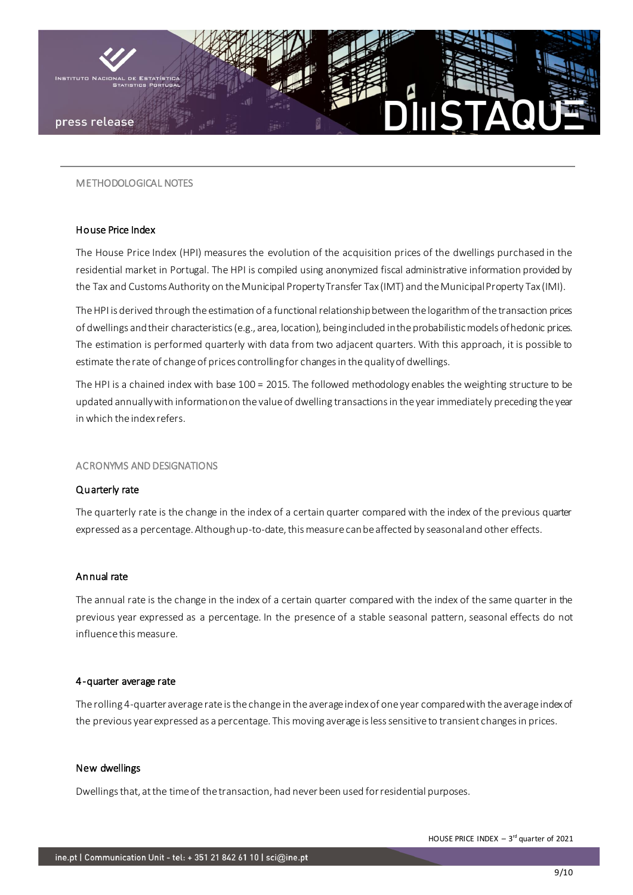

## METHODOLOGICAL NOTES

## House Price Index

The House Price Index (HPI) measures the evolution of the acquisition prices of the dwellings purchased in the residential market in Portugal. The HPI is compiled using anonymized fiscal administrative information provided by the Tax and Customs Authority on the Municipal Property Transfer Tax (IMT) and the Municipal Property Tax (IMI).

The HPI is derived through the estimation of a functional relationship between the logarithm of the transaction prices of dwellings and their characteristics (e.g., area, location), being included in the probabilistic models of hedonic prices. The estimation is performed quarterly with data from two adjacent quarters. With this approach, it is possible to estimate the rate of change of prices controlling for changes in the quality of dwellings.

The HPI is a chained index with base 100 = 2015. The followed methodology enables the weighting structure to be updated annually with information on the value of dwelling transactions in the year immediately preceding the year in which the index refers.

## ACRONYMS AND DESIGNATIONS

## Quarterly rate

The quarterly rate is the change in the index of a certain quarter compared with the index of the previous quarter expressed as a percentage. Although up-to-date, this measure can be affected by seasonal and other effects.

## Annual rate

The annual rate is the change in the index of a certain quarter compared with the index of the same quarter in the previous year expressed as a percentage. In the presence of a stable seasonal pattern, seasonal effects do not influence this measure.

## 4-quarter average rate

The rolling 4-quarter average rate is the change in the average index of one year compared with the average index of the previous year expressed as a percentage. This moving average is less sensitive to transient changes in prices.

## New dwellings

Dwellings that, at the time of the transaction, had never been used for residential purposes.